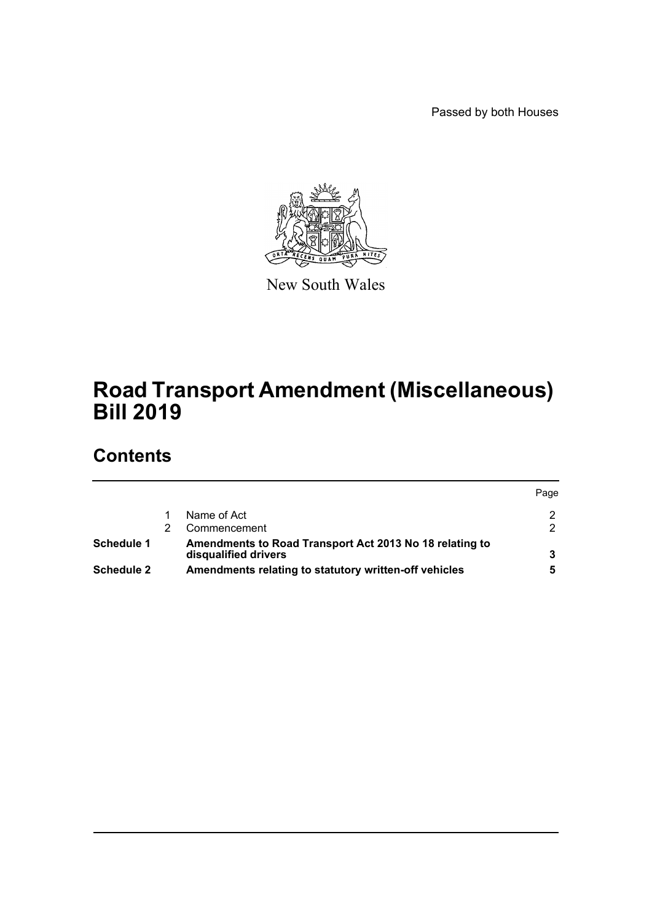Passed by both Houses



New South Wales

# **Road Transport Amendment (Miscellaneous) Bill 2019**

# **Contents**

|                   |                                                                                 | Page |
|-------------------|---------------------------------------------------------------------------------|------|
|                   | Name of Act                                                                     |      |
|                   | Commencement                                                                    |      |
| Schedule 1        | Amendments to Road Transport Act 2013 No 18 relating to<br>disqualified drivers |      |
| <b>Schedule 2</b> | Amendments relating to statutory written-off vehicles                           |      |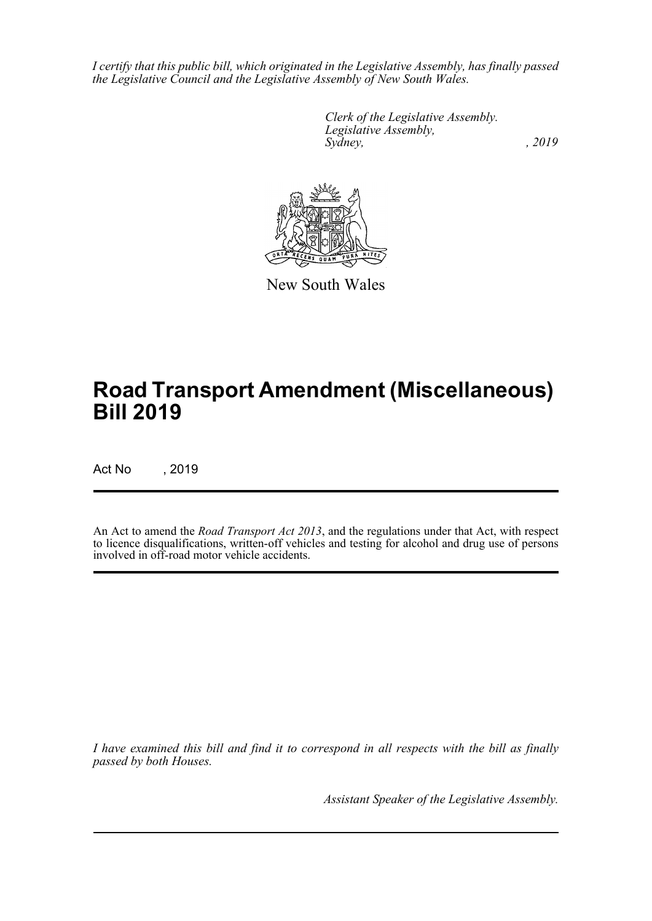*I certify that this public bill, which originated in the Legislative Assembly, has finally passed the Legislative Council and the Legislative Assembly of New South Wales.*

> *Clerk of the Legislative Assembly. Legislative Assembly, Sydney,* , 2019



New South Wales

# **Road Transport Amendment (Miscellaneous) Bill 2019**

Act No , 2019

An Act to amend the *Road Transport Act 2013*, and the regulations under that Act, with respect to licence disqualifications, written-off vehicles and testing for alcohol and drug use of persons involved in off-road motor vehicle accidents.

*I have examined this bill and find it to correspond in all respects with the bill as finally passed by both Houses.*

*Assistant Speaker of the Legislative Assembly.*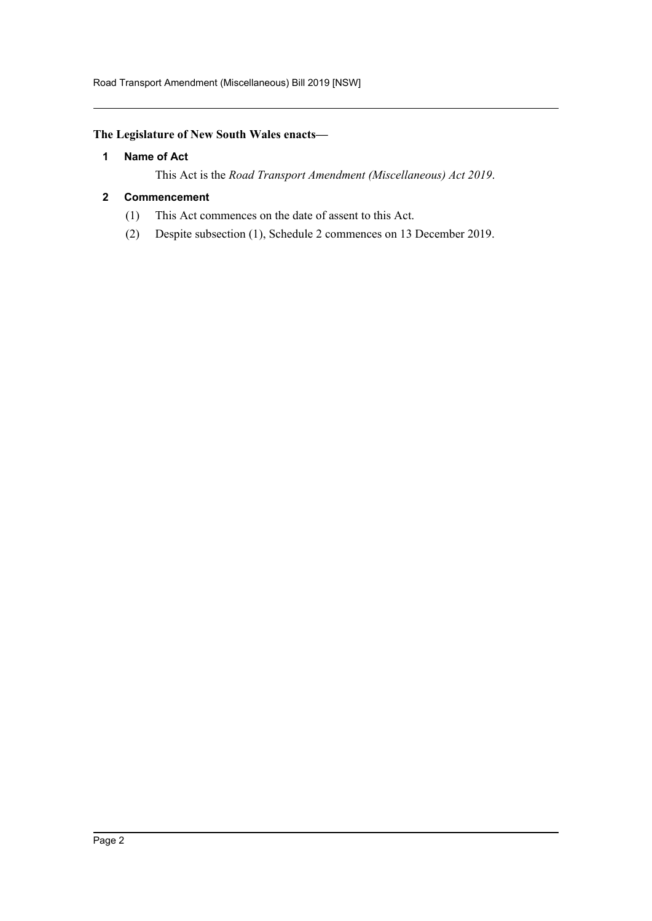Road Transport Amendment (Miscellaneous) Bill 2019 [NSW]

# <span id="page-2-0"></span>**The Legislature of New South Wales enacts—**

#### **1 Name of Act**

This Act is the *Road Transport Amendment (Miscellaneous) Act 2019*.

#### <span id="page-2-1"></span>**2 Commencement**

- (1) This Act commences on the date of assent to this Act.
- (2) Despite subsection (1), Schedule 2 commences on 13 December 2019.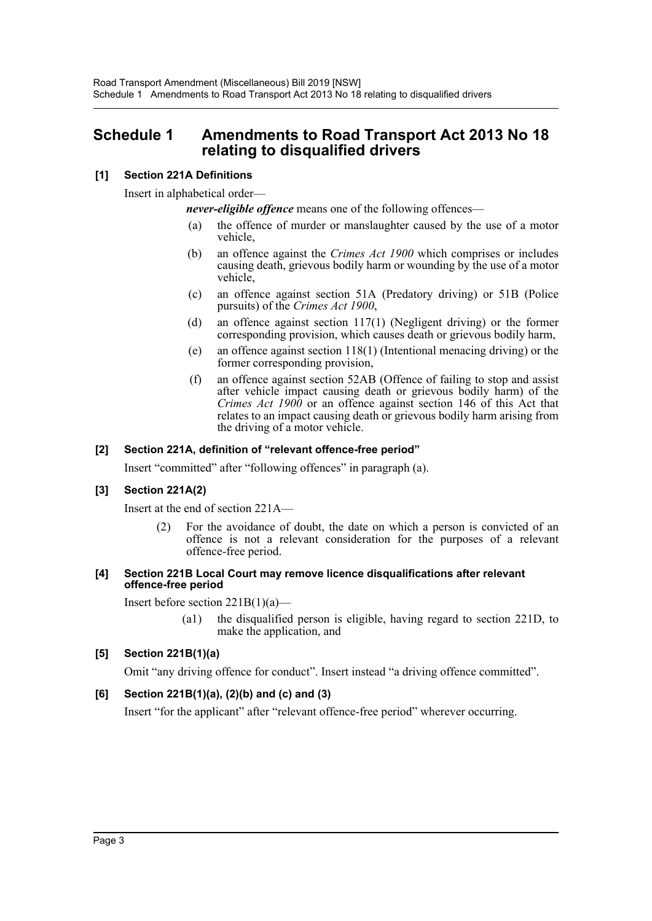# <span id="page-3-0"></span>**Schedule 1 Amendments to Road Transport Act 2013 No 18 relating to disqualified drivers**

### **[1] Section 221A Definitions**

Insert in alphabetical order—

*never-eligible offence* means one of the following offences—

- (a) the offence of murder or manslaughter caused by the use of a motor vehicle,
- (b) an offence against the *Crimes Act 1900* which comprises or includes causing death, grievous bodily harm or wounding by the use of a motor vehicle,
- (c) an offence against section 51A (Predatory driving) or 51B (Police pursuits) of the *Crimes Act 1900*,
- (d) an offence against section 117(1) (Negligent driving) or the former corresponding provision, which causes death or grievous bodily harm,
- (e) an offence against section 118(1) (Intentional menacing driving) or the former corresponding provision,
- (f) an offence against section 52AB (Offence of failing to stop and assist after vehicle impact causing death or grievous bodily harm) of the *Crimes Act 1900* or an offence against section 146 of this Act that relates to an impact causing death or grievous bodily harm arising from the driving of a motor vehicle.

#### **[2] Section 221A, definition of "relevant offence-free period"**

Insert "committed" after "following offences" in paragraph (a).

#### **[3] Section 221A(2)**

Insert at the end of section 221A—

(2) For the avoidance of doubt, the date on which a person is convicted of an offence is not a relevant consideration for the purposes of a relevant offence-free period.

#### **[4] Section 221B Local Court may remove licence disqualifications after relevant offence-free period**

Insert before section  $221B(1)(a)$ —

(a1) the disqualified person is eligible, having regard to section 221D, to make the application, and

#### **[5] Section 221B(1)(a)**

Omit "any driving offence for conduct". Insert instead "a driving offence committed".

#### **[6] Section 221B(1)(a), (2)(b) and (c) and (3)**

Insert "for the applicant" after "relevant offence-free period" wherever occurring.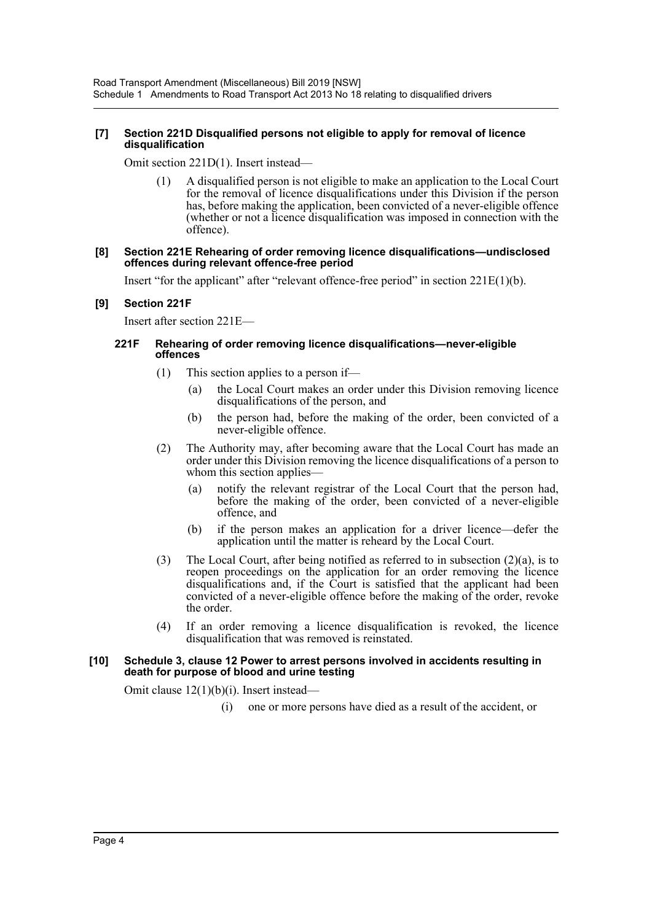#### **[7] Section 221D Disqualified persons not eligible to apply for removal of licence disqualification**

Omit section 221D(1). Insert instead—

(1) A disqualified person is not eligible to make an application to the Local Court for the removal of licence disqualifications under this Division if the person has, before making the application, been convicted of a never-eligible offence (whether or not a licence disqualification was imposed in connection with the offence).

#### **[8] Section 221E Rehearing of order removing licence disqualifications—undisclosed offences during relevant offence-free period**

Insert "for the applicant" after "relevant offence-free period" in section  $221E(1)(b)$ .

#### **[9] Section 221F**

Insert after section 221E—

#### **221F Rehearing of order removing licence disqualifications—never-eligible offences**

- (1) This section applies to a person if—
	- (a) the Local Court makes an order under this Division removing licence disqualifications of the person, and
	- (b) the person had, before the making of the order, been convicted of a never-eligible offence.
- (2) The Authority may, after becoming aware that the Local Court has made an order under this Division removing the licence disqualifications of a person to whom this section applies—
	- (a) notify the relevant registrar of the Local Court that the person had, before the making of the order, been convicted of a never-eligible offence, and
	- (b) if the person makes an application for a driver licence—defer the application until the matter is reheard by the Local Court.
- (3) The Local Court, after being notified as referred to in subsection (2)(a), is to reopen proceedings on the application for an order removing the licence disqualifications and, if the Court is satisfied that the applicant had been convicted of a never-eligible offence before the making of the order, revoke the order.
- (4) If an order removing a licence disqualification is revoked, the licence disqualification that was removed is reinstated.

#### **[10] Schedule 3, clause 12 Power to arrest persons involved in accidents resulting in death for purpose of blood and urine testing**

Omit clause 12(1)(b)(i). Insert instead—

(i) one or more persons have died as a result of the accident, or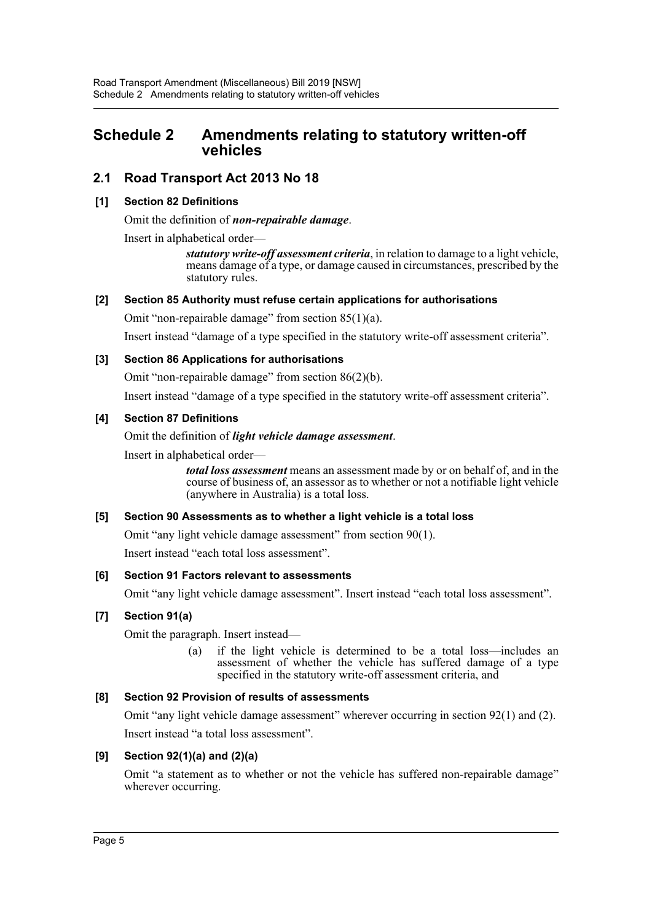# <span id="page-5-0"></span>**Schedule 2 Amendments relating to statutory written-off vehicles**

# **2.1 Road Transport Act 2013 No 18**

#### **[1] Section 82 Definitions**

Omit the definition of *non-repairable damage*.

Insert in alphabetical order—

*statutory write-off assessment criteria*, in relation to damage to a light vehicle, means damage of a type, or damage caused in circumstances, prescribed by the statutory rules.

#### **[2] Section 85 Authority must refuse certain applications for authorisations**

Omit "non-repairable damage" from section 85(1)(a).

Insert instead "damage of a type specified in the statutory write-off assessment criteria".

#### **[3] Section 86 Applications for authorisations**

Omit "non-repairable damage" from section 86(2)(b).

Insert instead "damage of a type specified in the statutory write-off assessment criteria".

#### **[4] Section 87 Definitions**

Omit the definition of *light vehicle damage assessment*.

Insert in alphabetical order—

*total loss assessment* means an assessment made by or on behalf of, and in the course of business of, an assessor as to whether or not a notifiable light vehicle (anywhere in Australia) is a total loss.

#### **[5] Section 90 Assessments as to whether a light vehicle is a total loss**

Omit "any light vehicle damage assessment" from section 90(1).

Insert instead "each total loss assessment".

#### **[6] Section 91 Factors relevant to assessments**

Omit "any light vehicle damage assessment". Insert instead "each total loss assessment".

#### **[7] Section 91(a)**

Omit the paragraph. Insert instead—

(a) if the light vehicle is determined to be a total loss—includes an assessment of whether the vehicle has suffered damage of a type specified in the statutory write-off assessment criteria, and

### **[8] Section 92 Provision of results of assessments**

Omit "any light vehicle damage assessment" wherever occurring in section 92(1) and (2). Insert instead "a total loss assessment".

#### **[9] Section 92(1)(a) and (2)(a)**

Omit "a statement as to whether or not the vehicle has suffered non-repairable damage" wherever occurring.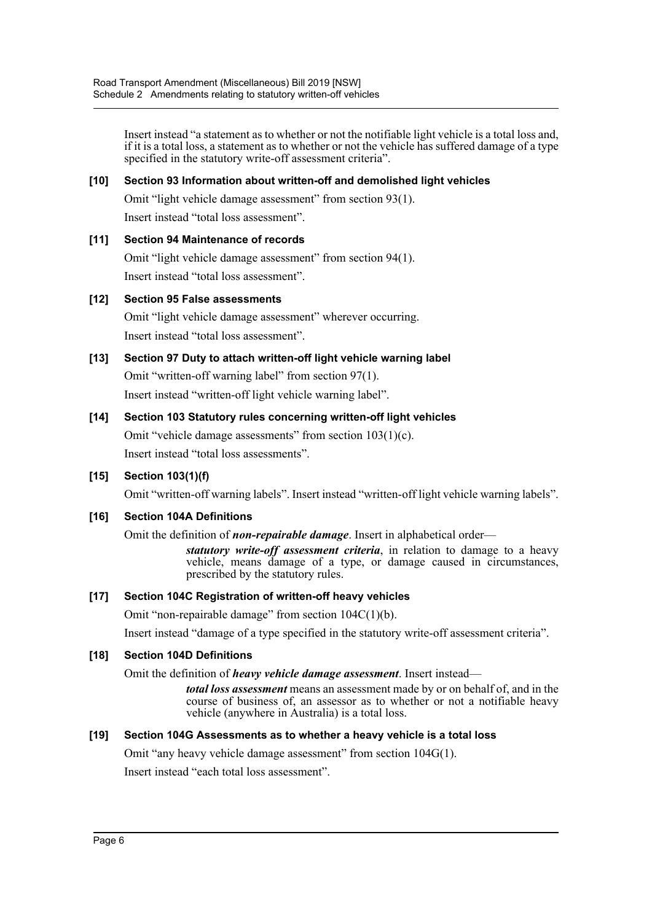Insert instead "a statement as to whether or not the notifiable light vehicle is a total loss and, if it is a total loss, a statement as to whether or not the vehicle has suffered damage of a type specified in the statutory write-off assessment criteria".

#### **[10] Section 93 Information about written-off and demolished light vehicles**

Omit "light vehicle damage assessment" from section 93(1).

Insert instead "total loss assessment".

#### **[11] Section 94 Maintenance of records**

Omit "light vehicle damage assessment" from section 94(1). Insert instead "total loss assessment".

#### **[12] Section 95 False assessments**

Omit "light vehicle damage assessment" wherever occurring. Insert instead "total loss assessment".

**[13] Section 97 Duty to attach written-off light vehicle warning label** Omit "written-off warning label" from section 97(1). Insert instead "written-off light vehicle warning label".

## **[14] Section 103 Statutory rules concerning written-off light vehicles**

Omit "vehicle damage assessments" from section 103(1)(c). Insert instead "total loss assessments".

#### **[15] Section 103(1)(f)**

Omit "written-off warning labels". Insert instead "written-off light vehicle warning labels".

#### **[16] Section 104A Definitions**

Omit the definition of *non-repairable damage*. Insert in alphabetical order—

*statutory write-off assessment criteria*, in relation to damage to a heavy vehicle, means damage of a type, or damage caused in circumstances, prescribed by the statutory rules.

#### **[17] Section 104C Registration of written-off heavy vehicles**

Omit "non-repairable damage" from section 104C(1)(b).

Insert instead "damage of a type specified in the statutory write-off assessment criteria".

#### **[18] Section 104D Definitions**

Omit the definition of *heavy vehicle damage assessment*. Insert instead—

*total loss assessment* means an assessment made by or on behalf of, and in the course of business of, an assessor as to whether or not a notifiable heavy vehicle (anywhere in Australia) is a total loss.

#### **[19] Section 104G Assessments as to whether a heavy vehicle is a total loss**

Omit "any heavy vehicle damage assessment" from section 104G(1).

Insert instead "each total loss assessment".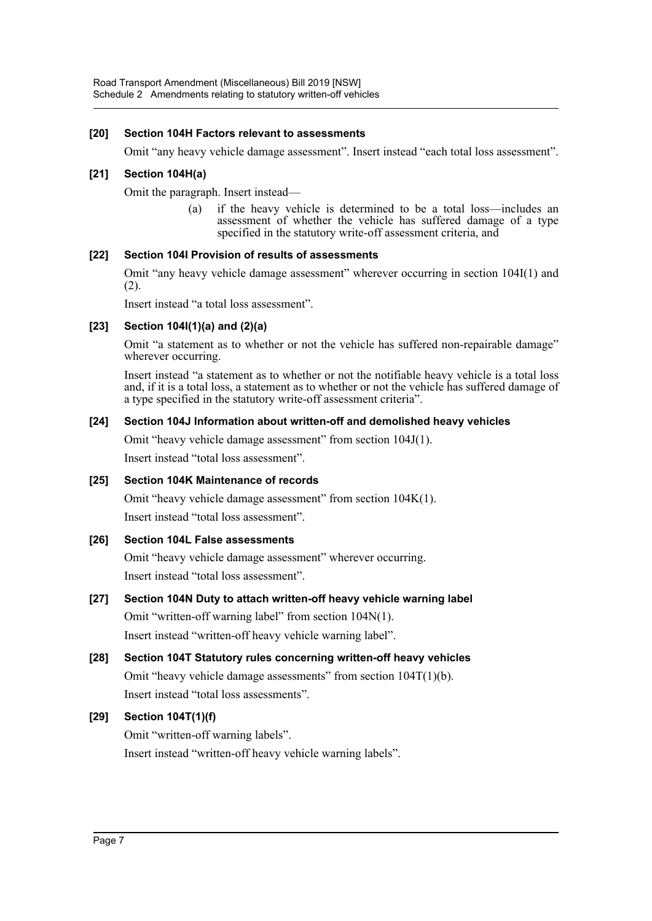#### **[20] Section 104H Factors relevant to assessments**

Omit "any heavy vehicle damage assessment". Insert instead "each total loss assessment".

#### **[21] Section 104H(a)**

Omit the paragraph. Insert instead—

(a) if the heavy vehicle is determined to be a total loss—includes an assessment of whether the vehicle has suffered damage of a type specified in the statutory write-off assessment criteria, and

#### **[22] Section 104I Provision of results of assessments**

Omit "any heavy vehicle damage assessment" wherever occurring in section 104I(1) and (2).

Insert instead "a total loss assessment".

#### **[23] Section 104I(1)(a) and (2)(a)**

Omit "a statement as to whether or not the vehicle has suffered non-repairable damage" wherever occurring.

Insert instead "a statement as to whether or not the notifiable heavy vehicle is a total loss and, if it is a total loss, a statement as to whether or not the vehicle has suffered damage of a type specified in the statutory write-off assessment criteria".

#### **[24] Section 104J Information about written-off and demolished heavy vehicles**

Omit "heavy vehicle damage assessment" from section 104J(1).

Insert instead "total loss assessment".

#### **[25] Section 104K Maintenance of records**

Omit "heavy vehicle damage assessment" from section 104K(1). Insert instead "total loss assessment".

#### **[26] Section 104L False assessments**

Omit "heavy vehicle damage assessment" wherever occurring. Insert instead "total loss assessment".

## **[27] Section 104N Duty to attach written-off heavy vehicle warning label**

Omit "written-off warning label" from section 104N(1). Insert instead "written-off heavy vehicle warning label".

# **[28] Section 104T Statutory rules concerning written-off heavy vehicles** Omit "heavy vehicle damage assessments" from section 104T(1)(b).

Insert instead "total loss assessments".

#### **[29] Section 104T(1)(f)**

Omit "written-off warning labels". Insert instead "written-off heavy vehicle warning labels".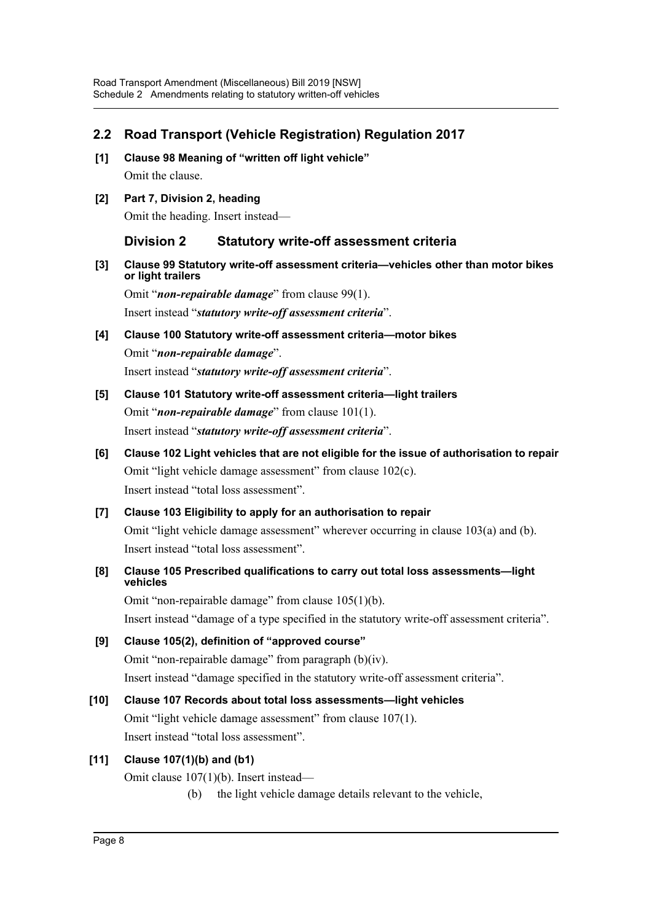# **2.2 Road Transport (Vehicle Registration) Regulation 2017**

- **[1] Clause 98 Meaning of "written off light vehicle"** Omit the clause.
- **[2] Part 7, Division 2, heading**

Omit the heading. Insert instead—

**Division 2 Statutory write-off assessment criteria**

**[3] Clause 99 Statutory write-off assessment criteria—vehicles other than motor bikes or light trailers**

Omit "*non-repairable damage*" from clause 99(1).

Insert instead "*statutory write-off assessment criteria*".

- **[4] Clause 100 Statutory write-off assessment criteria—motor bikes** Omit "*non-repairable damage*". Insert instead "*statutory write-off assessment criteria*".
- **[5] Clause 101 Statutory write-off assessment criteria—light trailers** Omit "*non-repairable damage*" from clause 101(1). Insert instead "*statutory write-off assessment criteria*".
- **[6] Clause 102 Light vehicles that are not eligible for the issue of authorisation to repair** Omit "light vehicle damage assessment" from clause 102(c). Insert instead "total loss assessment".
- **[7] Clause 103 Eligibility to apply for an authorisation to repair** Omit "light vehicle damage assessment" wherever occurring in clause 103(a) and (b). Insert instead "total loss assessment".
- **[8] Clause 105 Prescribed qualifications to carry out total loss assessments—light vehicles**

Omit "non-repairable damage" from clause 105(1)(b).

Insert instead "damage of a type specified in the statutory write-off assessment criteria".

- **[9] Clause 105(2), definition of "approved course"** Omit "non-repairable damage" from paragraph (b)(iv). Insert instead "damage specified in the statutory write-off assessment criteria".
- **[10] Clause 107 Records about total loss assessments—light vehicles** Omit "light vehicle damage assessment" from clause 107(1). Insert instead "total loss assessment".

## **[11] Clause 107(1)(b) and (b1)**

Omit clause 107(1)(b). Insert instead—

(b) the light vehicle damage details relevant to the vehicle,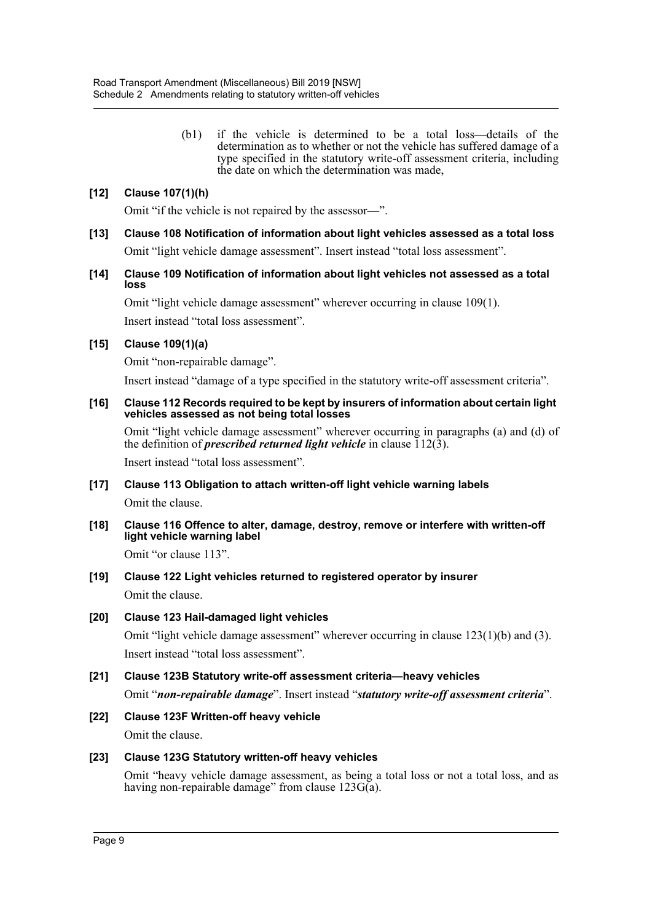(b1) if the vehicle is determined to be a total loss—details of the determination as to whether or not the vehicle has suffered damage of a type specified in the statutory write-off assessment criteria, including the date on which the determination was made,

### **[12] Clause 107(1)(h)**

Omit "if the vehicle is not repaired by the assessor—".

- **[13] Clause 108 Notification of information about light vehicles assessed as a total loss** Omit "light vehicle damage assessment". Insert instead "total loss assessment".
- **[14] Clause 109 Notification of information about light vehicles not assessed as a total loss**

Omit "light vehicle damage assessment" wherever occurring in clause 109(1). Insert instead "total loss assessment".

#### **[15] Clause 109(1)(a)**

Omit "non-repairable damage".

Insert instead "damage of a type specified in the statutory write-off assessment criteria".

#### **[16] Clause 112 Records required to be kept by insurers of information about certain light vehicles assessed as not being total losses**

Omit "light vehicle damage assessment" wherever occurring in paragraphs (a) and (d) of the definition of *prescribed returned light vehicle* in clause  $\overline{112(3)}$ .

Insert instead "total loss assessment".

- **[17] Clause 113 Obligation to attach written-off light vehicle warning labels** Omit the clause.
- **[18] Clause 116 Offence to alter, damage, destroy, remove or interfere with written-off light vehicle warning label**

Omit "or clause 113".

- **[19] Clause 122 Light vehicles returned to registered operator by insurer** Omit the clause.
- **[20] Clause 123 Hail-damaged light vehicles**

Omit "light vehicle damage assessment" wherever occurring in clause  $123(1)(b)$  and  $(3)$ . Insert instead "total loss assessment".

**[21] Clause 123B Statutory write-off assessment criteria—heavy vehicles**

Omit "*non-repairable damage*". Insert instead "*statutory write-off assessment criteria*".

**[22] Clause 123F Written-off heavy vehicle** Omit the clause.

#### **[23] Clause 123G Statutory written-off heavy vehicles**

Omit "heavy vehicle damage assessment, as being a total loss or not a total loss, and as having non-repairable damage" from clause  $123G(a)$ .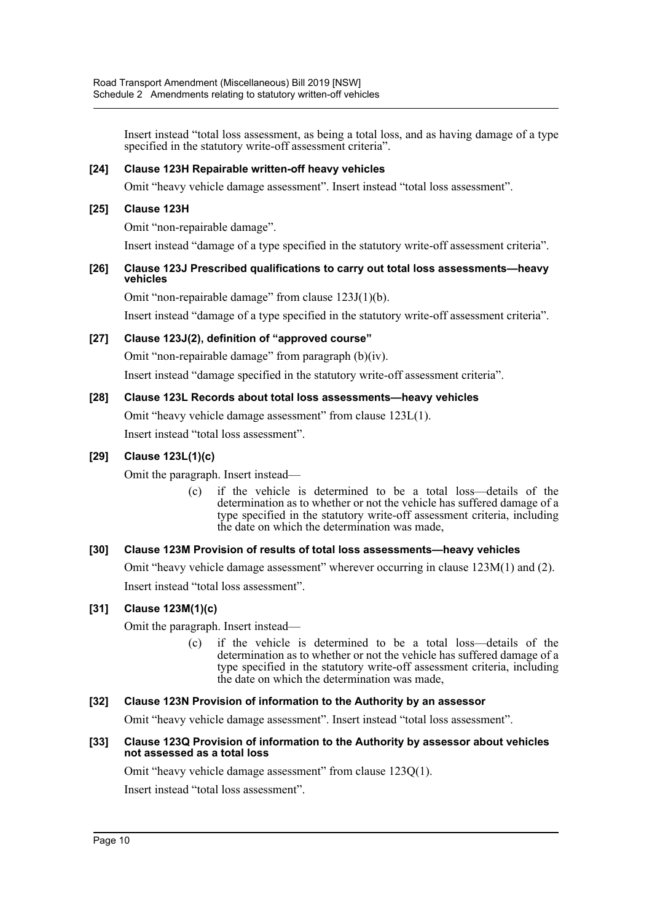Insert instead "total loss assessment, as being a total loss, and as having damage of a type specified in the statutory write-off assessment criteria".

#### **[24] Clause 123H Repairable written-off heavy vehicles**

Omit "heavy vehicle damage assessment". Insert instead "total loss assessment".

#### **[25] Clause 123H**

Omit "non-repairable damage".

Insert instead "damage of a type specified in the statutory write-off assessment criteria".

#### **[26] Clause 123J Prescribed qualifications to carry out total loss assessments—heavy vehicles**

Omit "non-repairable damage" from clause 123J(1)(b).

Insert instead "damage of a type specified in the statutory write-off assessment criteria".

#### **[27] Clause 123J(2), definition of "approved course"**

Omit "non-repairable damage" from paragraph (b)(iv).

Insert instead "damage specified in the statutory write-off assessment criteria".

#### **[28] Clause 123L Records about total loss assessments—heavy vehicles**

Omit "heavy vehicle damage assessment" from clause 123L(1).

Insert instead "total loss assessment".

#### **[29] Clause 123L(1)(c)**

Omit the paragraph. Insert instead—

(c) if the vehicle is determined to be a total loss—details of the determination as to whether or not the vehicle has suffered damage of a type specified in the statutory write-off assessment criteria, including the date on which the determination was made,

#### **[30] Clause 123M Provision of results of total loss assessments—heavy vehicles**

Omit "heavy vehicle damage assessment" wherever occurring in clause 123M(1) and (2). Insert instead "total loss assessment".

#### **[31] Clause 123M(1)(c)**

Omit the paragraph. Insert instead—

(c) if the vehicle is determined to be a total loss—details of the determination as to whether or not the vehicle has suffered damage of a type specified in the statutory write-off assessment criteria, including the date on which the determination was made,

#### **[32] Clause 123N Provision of information to the Authority by an assessor**

Omit "heavy vehicle damage assessment". Insert instead "total loss assessment".

#### **[33] Clause 123Q Provision of information to the Authority by assessor about vehicles not assessed as a total loss**

Omit "heavy vehicle damage assessment" from clause 123Q(1).

Insert instead "total loss assessment".